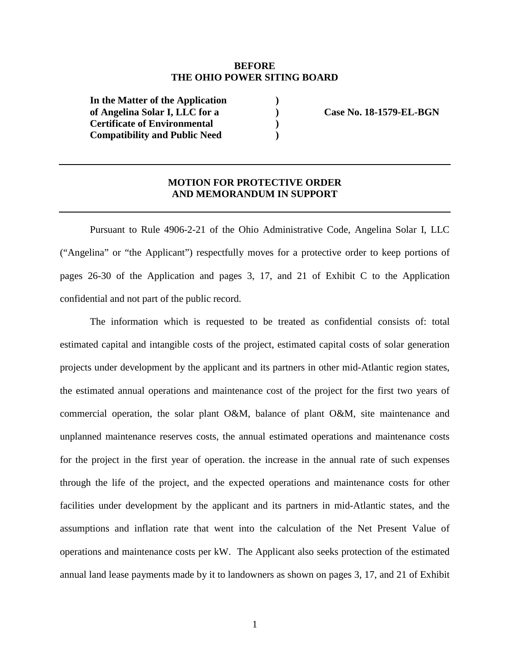## **BEFORE THE OHIO POWER SITING BOARD**

**) ) ) )** 

**In the Matter of the Application of Angelina Solar I, LLC for a Certificate of Environmental Compatibility and Public Need** 

 **Case No. 18-1579-EL-BGN** 

## **MOTION FOR PROTECTIVE ORDER AND MEMORANDUM IN SUPPORT**

Pursuant to Rule 4906-2-21 of the Ohio Administrative Code, Angelina Solar I, LLC ("Angelina" or "the Applicant") respectfully moves for a protective order to keep portions of pages 26-30 of the Application and pages 3, 17, and 21 of Exhibit C to the Application confidential and not part of the public record.

The information which is requested to be treated as confidential consists of: total estimated capital and intangible costs of the project, estimated capital costs of solar generation projects under development by the applicant and its partners in other mid-Atlantic region states, the estimated annual operations and maintenance cost of the project for the first two years of commercial operation, the solar plant O&M, balance of plant O&M, site maintenance and unplanned maintenance reserves costs, the annual estimated operations and maintenance costs for the project in the first year of operation. the increase in the annual rate of such expenses through the life of the project, and the expected operations and maintenance costs for other facilities under development by the applicant and its partners in mid-Atlantic states, and the assumptions and inflation rate that went into the calculation of the Net Present Value of operations and maintenance costs per kW. The Applicant also seeks protection of the estimated annual land lease payments made by it to landowners as shown on pages 3, 17, and 21 of Exhibit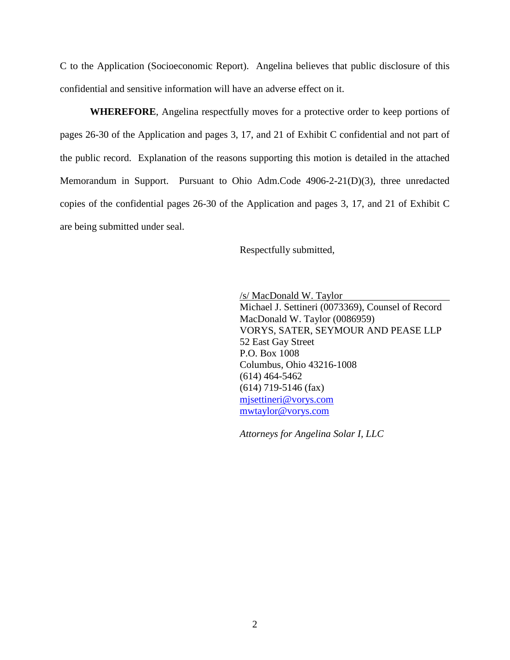C to the Application (Socioeconomic Report). Angelina believes that public disclosure of this confidential and sensitive information will have an adverse effect on it.

**WHEREFORE**, Angelina respectfully moves for a protective order to keep portions of pages 26-30 of the Application and pages 3, 17, and 21 of Exhibit C confidential and not part of the public record. Explanation of the reasons supporting this motion is detailed in the attached Memorandum in Support. Pursuant to Ohio Adm.Code 4906-2-21(D)(3), three unredacted copies of the confidential pages 26-30 of the Application and pages 3, 17, and 21 of Exhibit C are being submitted under seal.

Respectfully submitted,

/s/ MacDonald W. Taylor Michael J. Settineri (0073369), Counsel of Record MacDonald W. Taylor (0086959) VORYS, SATER, SEYMOUR AND PEASE LLP 52 East Gay Street P.O. Box 1008 Columbus, Ohio 43216-1008 (614) 464-5462 (614) 719-5146 (fax) mjsettineri@vorys.com mwtaylor@vorys.com

*Attorneys for Angelina Solar I, LLC*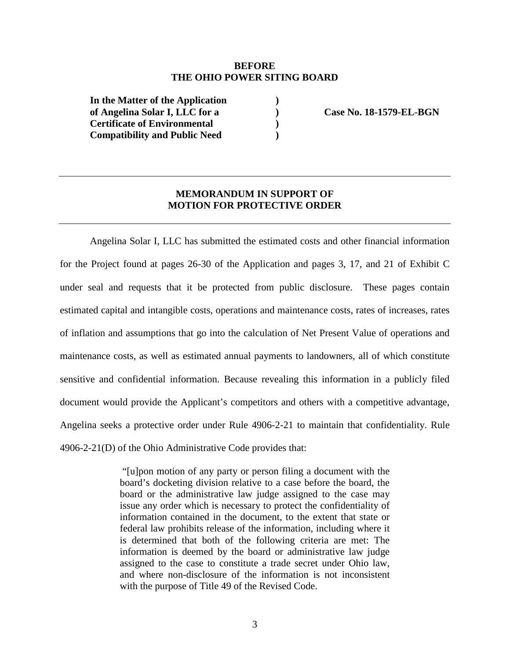## **BEFORE THE OHIO POWER SITING BOARD**

**) ) ) )** 

**In the Matter of the Application of Angelina Solar I, LLC for a Certificate of Environmental Compatibility and Public Need** 

 **Case No. 18-1579-EL-BGN** 

## **MEMORANDUM IN SUPPORT OF MOTION FOR PROTECTIVE ORDER**

Angelina Solar I, LLC has submitted the estimated costs and other financial information for the Project found at pages 26-30 of the Application and pages 3, 17, and 21 of Exhibit C under seal and requests that it be protected from public disclosure. These pages contain estimated capital and intangible costs, operations and maintenance costs, rates of increases, rates of inflation and assumptions that go into the calculation of Net Present Value of operations and maintenance costs, as well as estimated annual payments to landowners, all of which constitute sensitive and confidential information. Because revealing this information in a publicly filed document would provide the Applicant's competitors and others with a competitive advantage, Angelina seeks a protective order under Rule 4906-2-21 to maintain that confidentiality. Rule 4906-2-21(D) of the Ohio Administrative Code provides that:

> "[u]pon motion of any party or person filing a document with the board's docketing division relative to a case before the board, the board or the administrative law judge assigned to the case may issue any order which is necessary to protect the confidentiality of information contained in the document, to the extent that state or federal law prohibits release of the information, including where it is determined that both of the following criteria are met: The information is deemed by the board or administrative law judge assigned to the case to constitute a trade secret under Ohio law, and where non-disclosure of the information is not inconsistent with the purpose of Title 49 of the Revised Code.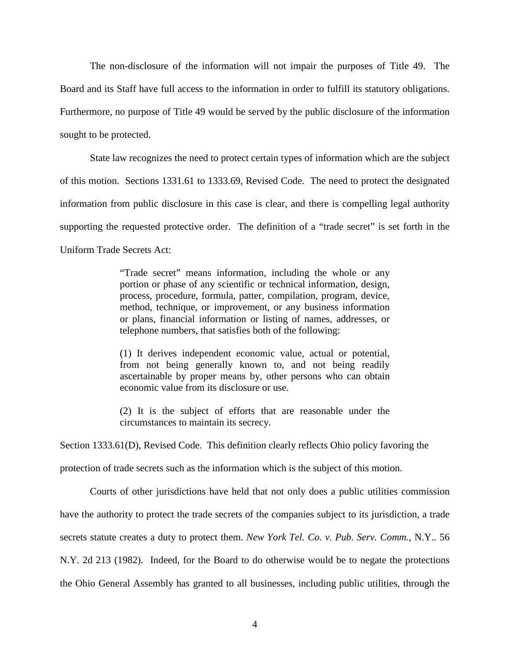The non-disclosure of the information will not impair the purposes of Title 49. The Board and its Staff have full access to the information in order to fulfill its statutory obligations. Furthermore, no purpose of Title 49 would be served by the public disclosure of the information sought to be protected.

State law recognizes the need to protect certain types of information which are the subject of this motion. Sections 1331.61 to 1333.69, Revised Code. The need to protect the designated information from public disclosure in this case is clear, and there is compelling legal authority supporting the requested protective order. The definition of a "trade secret" is set forth in the Uniform Trade Secrets Act:

> "Trade secret" means information, including the whole or any portion or phase of any scientific or technical information, design, process, procedure, formula, patter, compilation, program, device, method, technique, or improvement, or any business information or plans, financial information or listing of names, addresses, or telephone numbers, that satisfies both of the following:

> (1) It derives independent economic value, actual or potential, from not being generally known to, and not being readily ascertainable by proper means by, other persons who can obtain economic value from its disclosure or use.

> (2) It is the subject of efforts that are reasonable under the circumstances to maintain its secrecy.

Section 1333.61(D), Revised Code. This definition clearly reflects Ohio policy favoring the

protection of trade secrets such as the information which is the subject of this motion.

Courts of other jurisdictions have held that not only does a public utilities commission have the authority to protect the trade secrets of the companies subject to its jurisdiction, a trade secrets statute creates a duty to protect them. *New York Tel. Co. v. Pub. Serv. Comm.*, N.Y.. 56 N.Y. 2d 213 (1982). Indeed, for the Board to do otherwise would be to negate the protections the Ohio General Assembly has granted to all businesses, including public utilities, through the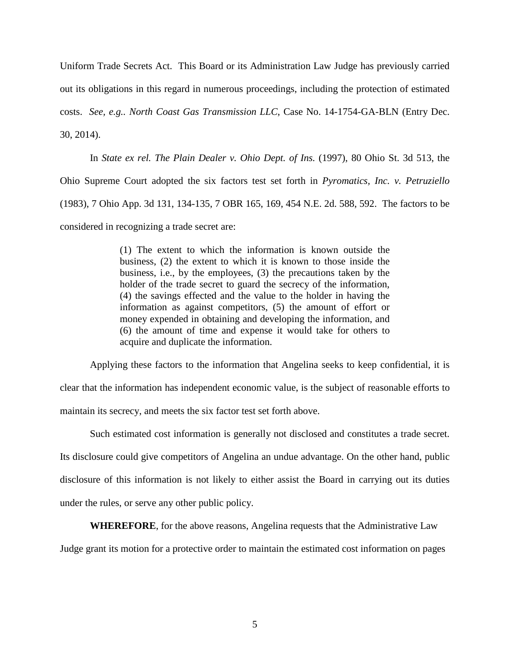Uniform Trade Secrets Act. This Board or its Administration Law Judge has previously carried out its obligations in this regard in numerous proceedings, including the protection of estimated costs. *See, e.g.. North Coast Gas Transmission LLC*, Case No. 14-1754-GA-BLN (Entry Dec. 30, 2014).

In *State ex rel. The Plain Dealer v. Ohio Dept. of Ins.* (1997), 80 Ohio St. 3d 513, the Ohio Supreme Court adopted the six factors test set forth in *Pyromatics, Inc. v. Petruziello* (1983), 7 Ohio App. 3d 131, 134-135, 7 OBR 165, 169, 454 N.E. 2d. 588, 592. The factors to be considered in recognizing a trade secret are:

> (1) The extent to which the information is known outside the business, (2) the extent to which it is known to those inside the business, i.e., by the employees, (3) the precautions taken by the holder of the trade secret to guard the secrecy of the information, (4) the savings effected and the value to the holder in having the information as against competitors, (5) the amount of effort or money expended in obtaining and developing the information, and (6) the amount of time and expense it would take for others to acquire and duplicate the information.

Applying these factors to the information that Angelina seeks to keep confidential, it is clear that the information has independent economic value, is the subject of reasonable efforts to maintain its secrecy, and meets the six factor test set forth above.

Such estimated cost information is generally not disclosed and constitutes a trade secret. Its disclosure could give competitors of Angelina an undue advantage. On the other hand, public disclosure of this information is not likely to either assist the Board in carrying out its duties under the rules, or serve any other public policy.

**WHEREFORE**, for the above reasons, Angelina requests that the Administrative Law

Judge grant its motion for a protective order to maintain the estimated cost information on pages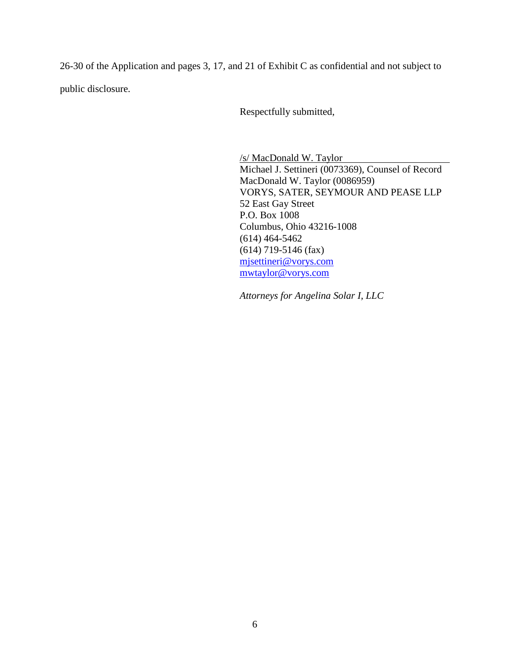26-30 of the Application and pages 3, 17, and 21 of Exhibit C as confidential and not subject to public disclosure.

Respectfully submitted,

/s/ MacDonald W. Taylor Michael J. Settineri (0073369), Counsel of Record MacDonald W. Taylor (0086959) VORYS, SATER, SEYMOUR AND PEASE LLP 52 East Gay Street P.O. Box 1008 Columbus, Ohio 43216-1008 (614) 464-5462 (614) 719-5146 (fax) mjsettineri@vorys.com mwtaylor@vorys.com

*Attorneys for Angelina Solar I, LLC*